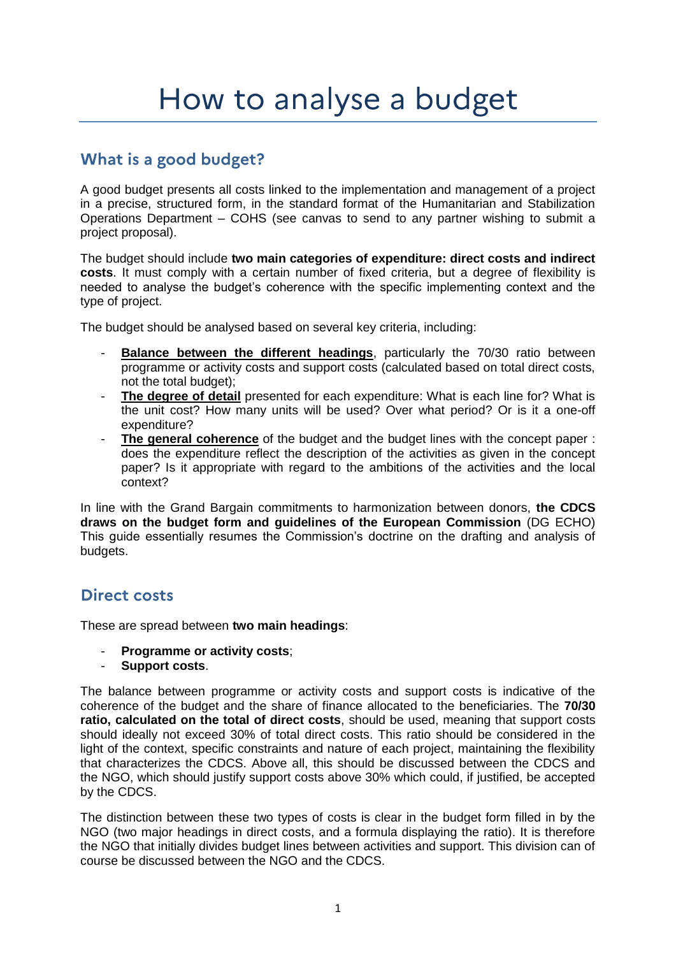# What is a good budget?

A good budget presents all costs linked to the implementation and management of a project in a precise, structured form, in the standard format of the Humanitarian and Stabilization Operations Department – COHS (see canvas to send to any partner wishing to submit a project proposal).

The budget should include **two main categories of expenditure: direct costs and indirect costs**. It must comply with a certain number of fixed criteria, but a degree of flexibility is needed to analyse the budget's coherence with the specific implementing context and the type of project.

The budget should be analysed based on several key criteria, including:

- **Balance between the different headings**, particularly the 70/30 ratio between programme or activity costs and support costs (calculated based on total direct costs, not the total budget);
- The degree of detail presented for each expenditure: What is each line for? What is the unit cost? How many units will be used? Over what period? Or is it a one-off expenditure?
- **The general coherence** of the budget and the budget lines with the concept paper : does the expenditure reflect the description of the activities as given in the concept paper? Is it appropriate with regard to the ambitions of the activities and the local context?

In line with the Grand Bargain commitments to harmonization between donors, **the CDCS draws on the budget form and guidelines of the European Commission** (DG ECHO) This guide essentially resumes the Commission's doctrine on the drafting and analysis of budgets.

### **Direct costs**

These are spread between **two main headings**:

- **Programme or activity costs;**
- Support costs.

The balance between programme or activity costs and support costs is indicative of the coherence of the budget and the share of finance allocated to the beneficiaries. The **70/30 ratio, calculated on the total of direct costs**, should be used, meaning that support costs should ideally not exceed 30% of total direct costs. This ratio should be considered in the light of the context, specific constraints and nature of each project, maintaining the flexibility that characterizes the CDCS. Above all, this should be discussed between the CDCS and the NGO, which should justify support costs above 30% which could, if justified, be accepted by the CDCS.

The distinction between these two types of costs is clear in the budget form filled in by the NGO (two major headings in direct costs, and a formula displaying the ratio). It is therefore the NGO that initially divides budget lines between activities and support. This division can of course be discussed between the NGO and the CDCS.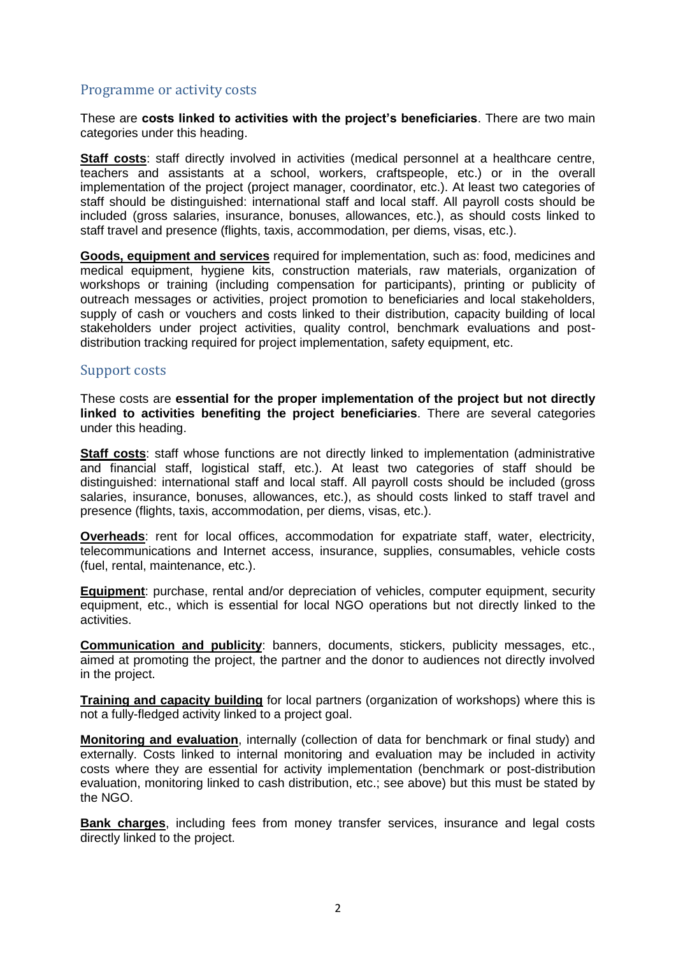#### Programme or activity costs

These are **costs linked to activities with the project's beneficiaries**. There are two main categories under this heading.

**Staff costs**: staff directly involved in activities (medical personnel at a healthcare centre, teachers and assistants at a school, workers, craftspeople, etc.) or in the overall implementation of the project (project manager, coordinator, etc.). At least two categories of staff should be distinguished: international staff and local staff. All payroll costs should be included (gross salaries, insurance, bonuses, allowances, etc.), as should costs linked to staff travel and presence (flights, taxis, accommodation, per diems, visas, etc.).

**Goods, equipment and services** required for implementation, such as: food, medicines and medical equipment, hygiene kits, construction materials, raw materials, organization of workshops or training (including compensation for participants), printing or publicity of outreach messages or activities, project promotion to beneficiaries and local stakeholders, supply of cash or vouchers and costs linked to their distribution, capacity building of local stakeholders under project activities, quality control, benchmark evaluations and postdistribution tracking required for project implementation, safety equipment, etc.

#### Support costs

These costs are **essential for the proper implementation of the project but not directly linked to activities benefiting the project beneficiaries**. There are several categories under this heading.

**Staff costs:** staff whose functions are not directly linked to implementation (administrative and financial staff, logistical staff, etc.). At least two categories of staff should be distinguished: international staff and local staff. All payroll costs should be included (gross salaries, insurance, bonuses, allowances, etc.), as should costs linked to staff travel and presence (flights, taxis, accommodation, per diems, visas, etc.).

**Overheads**: rent for local offices, accommodation for expatriate staff, water, electricity, telecommunications and Internet access, insurance, supplies, consumables, vehicle costs (fuel, rental, maintenance, etc.).

**Equipment**: purchase, rental and/or depreciation of vehicles, computer equipment, security equipment, etc., which is essential for local NGO operations but not directly linked to the activities.

**Communication and publicity**: banners, documents, stickers, publicity messages, etc., aimed at promoting the project, the partner and the donor to audiences not directly involved in the project.

**Training and capacity building** for local partners (organization of workshops) where this is not a fully-fledged activity linked to a project goal.

**Monitoring and evaluation**, internally (collection of data for benchmark or final study) and externally. Costs linked to internal monitoring and evaluation may be included in activity costs where they are essential for activity implementation (benchmark or post-distribution evaluation, monitoring linked to cash distribution, etc.; see above) but this must be stated by the NGO.

**Bank charges**, including fees from money transfer services, insurance and legal costs directly linked to the project.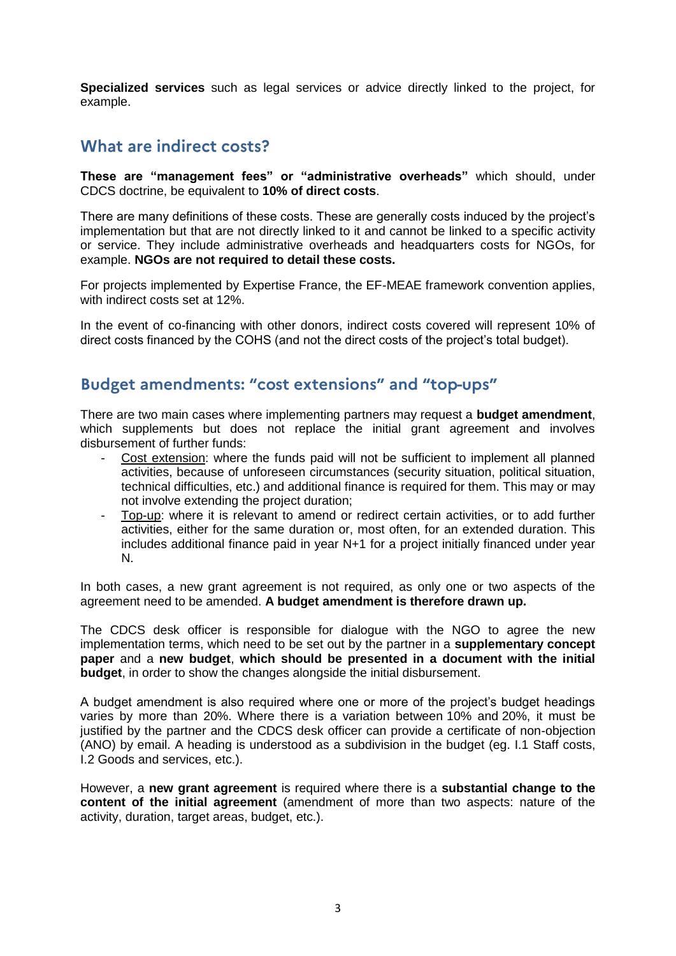**Specialized services** such as legal services or advice directly linked to the project, for example.

#### What are indirect costs?

**These are "management fees" or "administrative overheads"** which should, under CDCS doctrine, be equivalent to **10% of direct costs**.

There are many definitions of these costs. These are generally costs induced by the project's implementation but that are not directly linked to it and cannot be linked to a specific activity or service. They include administrative overheads and headquarters costs for NGOs, for example. **NGOs are not required to detail these costs.**

For projects implemented by Expertise France, the EF-MEAE framework convention applies, with indirect costs set at 12%.

In the event of co-financing with other donors, indirect costs covered will represent 10% of direct costs financed by the COHS (and not the direct costs of the project's total budget).

### Budget amendments: "cost extensions" and "top-ups"

There are two main cases where implementing partners may request a **budget amendment**, which supplements but does not replace the initial grant agreement and involves disbursement of further funds:

- Cost extension: where the funds paid will not be sufficient to implement all planned activities, because of unforeseen circumstances (security situation, political situation, technical difficulties, etc.) and additional finance is required for them. This may or may not involve extending the project duration;
- Top-up: where it is relevant to amend or redirect certain activities, or to add further activities, either for the same duration or, most often, for an extended duration. This includes additional finance paid in year N+1 for a project initially financed under year N.

In both cases, a new grant agreement is not required, as only one or two aspects of the agreement need to be amended. **A budget amendment is therefore drawn up.**

The CDCS desk officer is responsible for dialogue with the NGO to agree the new implementation terms, which need to be set out by the partner in a **supplementary concept paper** and a **new budget**, **which should be presented in a document with the initial budget**, in order to show the changes alongside the initial disbursement.

A budget amendment is also required where one or more of the project's budget headings varies by more than 20%. Where there is a variation between 10% and 20%, it must be justified by the partner and the CDCS desk officer can provide a certificate of non-objection (ANO) by email. A heading is understood as a subdivision in the budget (eg. I.1 Staff costs, I.2 Goods and services, etc.).

However, a **new grant agreement** is required where there is a **substantial change to the content of the initial agreement** (amendment of more than two aspects: nature of the activity, duration, target areas, budget, etc.).